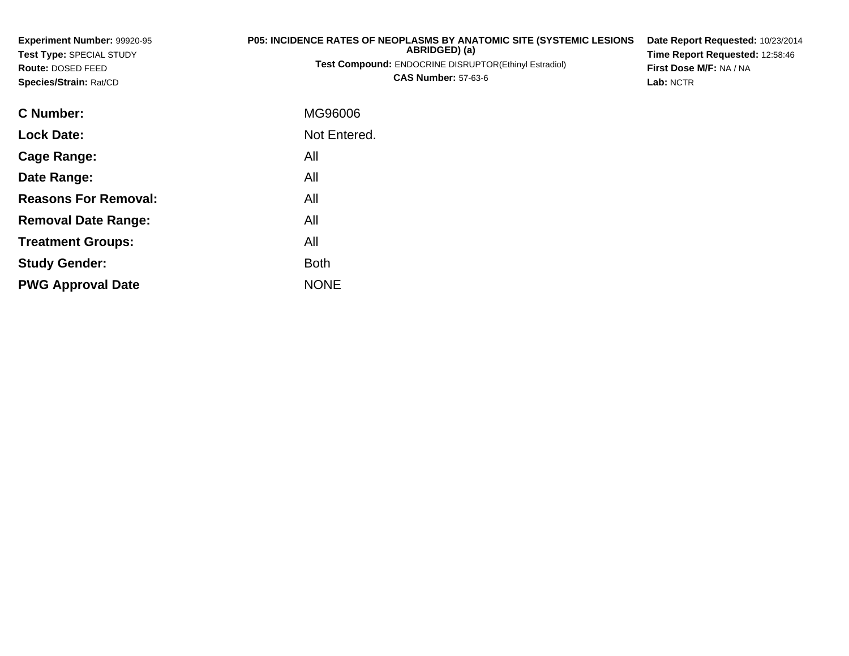| <b>Experiment Number: 99920-95</b><br>Test Type: SPECIAL STUDY<br>Route: DOSED FEED<br>Species/Strain: Rat/CD | P05: INCIDENCE RATES OF NEOPLASMS BY ANATOMIC SITE (SYSTEMIC LESIONS<br>ABRIDGED) (a)<br><b>Test Compound: ENDOCRINE DISRUPTOR(Ethinyl Estradiol)</b><br><b>CAS Number: 57-63-6</b> | Date Report Requested: 10/23/2014<br>Time Report Requested: 12:58:46<br>First Dose M/F: NA / NA<br>Lab: NCTR |
|---------------------------------------------------------------------------------------------------------------|-------------------------------------------------------------------------------------------------------------------------------------------------------------------------------------|--------------------------------------------------------------------------------------------------------------|
| C Number:                                                                                                     | MG96006                                                                                                                                                                             |                                                                                                              |
| <b>Lock Date:</b>                                                                                             | Not Entered.                                                                                                                                                                        |                                                                                                              |
| <b>Cage Range:</b>                                                                                            | All                                                                                                                                                                                 |                                                                                                              |
| Date Range:                                                                                                   | All                                                                                                                                                                                 |                                                                                                              |
| <b>Reasons For Removal:</b>                                                                                   | All                                                                                                                                                                                 |                                                                                                              |
| <b>Removal Date Range:</b>                                                                                    | All                                                                                                                                                                                 |                                                                                                              |

**Treatment Groups:**

**PWG Approval Date**

**Study Gender:**

All

e NONE

Both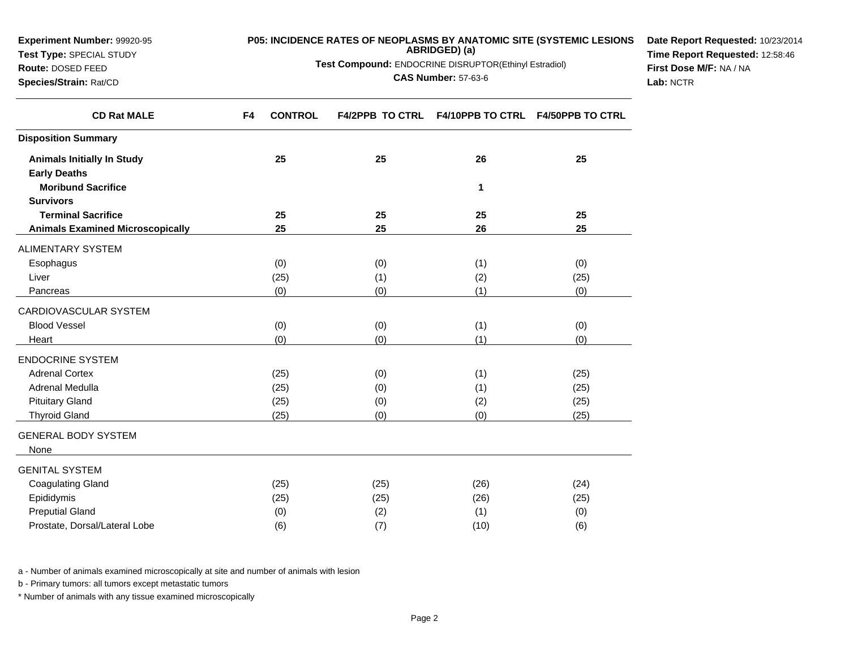| <b>Experiment Number: 99920-95</b> | <b>P05: INCIDENCE RATES OF NEOPLASMS BY ANATOMIC SITE (SYSTEMIC LESIONS)</b>         | Date Report Requested: 10/23/2014 |
|------------------------------------|--------------------------------------------------------------------------------------|-----------------------------------|
| <b>Test Type: SPECIAL STUDY</b>    | ABRIDGED) (a)                                                                        | Time Report Requested: 12:58:46   |
| <b>Route: DOSED FEED</b>           | <b>Test Compound: ENDOCRINE DISRUPTOR(Ethinyl Estradiol)</b>                         | First Dose M/F: NA / NA           |
| <b>Species/Strain: Rat/CD</b>      | <b>CAS Number: 57-63-6</b>                                                           | Lab: NCTR                         |
| <b>CD Rat MALE</b>                 | <b>F4/2PPB TO CTRL F4/10PPB TO CTRL</b><br><b>CONTROL</b><br><b>F4/50PPB TO CTRL</b> |                                   |

| <b>CD Rat MALE</b>                                       | F4 | <b>CONTROL</b> | <b>F4/2PPB TO CTRL</b> | <b>F4/10PPB TO CTRL F4/50PPB TO CTRL</b> |      |
|----------------------------------------------------------|----|----------------|------------------------|------------------------------------------|------|
| <b>Disposition Summary</b>                               |    |                |                        |                                          |      |
| <b>Animals Initially In Study</b><br><b>Early Deaths</b> |    | 25             | 25                     | 26                                       | 25   |
| <b>Moribund Sacrifice</b>                                |    |                |                        | 1                                        |      |
| <b>Survivors</b>                                         |    |                |                        |                                          |      |
| <b>Terminal Sacrifice</b>                                |    | 25             | 25                     | 25                                       | 25   |
| <b>Animals Examined Microscopically</b>                  |    | 25             | 25                     | 26                                       | 25   |
| <b>ALIMENTARY SYSTEM</b>                                 |    |                |                        |                                          |      |
| Esophagus                                                |    | (0)            | (0)                    | (1)                                      | (0)  |
| Liver                                                    |    | (25)           | (1)                    | (2)                                      | (25) |
| Pancreas                                                 |    | (0)            | (0)                    | (1)                                      | (0)  |
| CARDIOVASCULAR SYSTEM                                    |    |                |                        |                                          |      |
| <b>Blood Vessel</b>                                      |    | (0)            | (0)                    | (1)                                      | (0)  |
| Heart                                                    |    | (0)            | (0)                    | (1)                                      | (0)  |
| <b>ENDOCRINE SYSTEM</b>                                  |    |                |                        |                                          |      |
| <b>Adrenal Cortex</b>                                    |    | (25)           | (0)                    | (1)                                      | (25) |
| Adrenal Medulla                                          |    | (25)           | (0)                    | (1)                                      | (25) |
| <b>Pituitary Gland</b>                                   |    | (25)           | (0)                    | (2)                                      | (25) |
| <b>Thyroid Gland</b>                                     |    | (25)           | (0)                    | (0)                                      | (25) |
| <b>GENERAL BODY SYSTEM</b>                               |    |                |                        |                                          |      |
| None                                                     |    |                |                        |                                          |      |
| <b>GENITAL SYSTEM</b>                                    |    |                |                        |                                          |      |
| <b>Coagulating Gland</b>                                 |    | (25)           | (25)                   | (26)                                     | (24) |
| Epididymis                                               |    | (25)           | (25)                   | (26)                                     | (25) |
| <b>Preputial Gland</b>                                   |    | (0)            | (2)                    | (1)                                      | (0)  |
| Prostate, Dorsal/Lateral Lobe                            |    | (6)            | (7)                    | (10)                                     | (6)  |

a - Number of animals examined microscopically at site and number of animals with lesion

b - Primary tumors: all tumors except metastatic tumors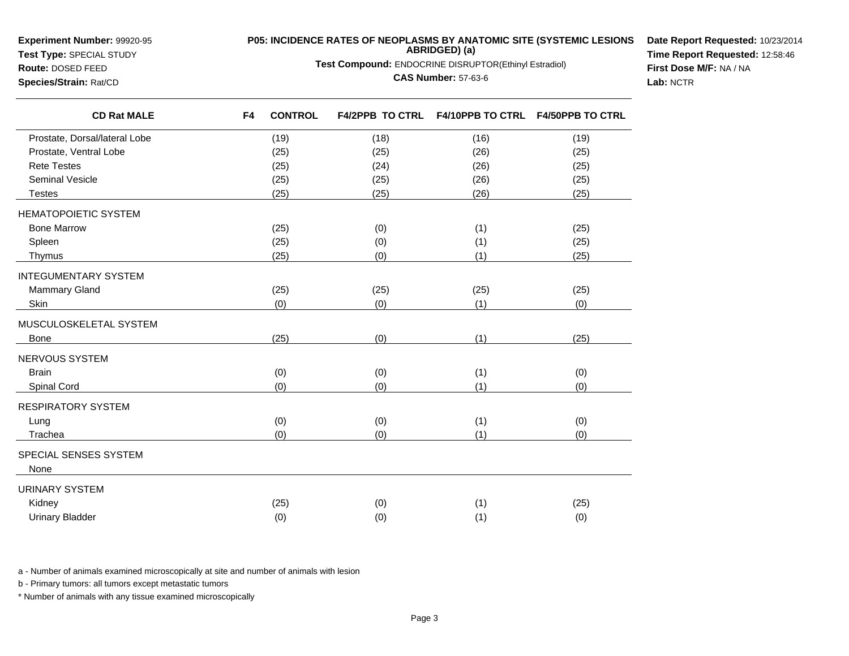**Experiment Number:** 99920-95

## **Test Type:** SPECIAL STUDY**Route:** DOSED FEED

**P05: INCIDENCE RATES OF NEOPLASMS BY ANATOMIC SITE (SYSTEMIC LESIONS ABRIDGED) (a)**

**Test Compound:** ENDOCRINE DISRUPTOR(Ethinyl Estradiol)

## **CAS Number:** 57-63-6

**Date Report Requested:** 10/23/2014**Time Report Requested:** 12:58:46**First Dose M/F:** NA / NA**Lab:** NCTR

**Species/Strain:** Rat/CD

| <b>CD Rat MALE</b>            | F <sub>4</sub> | <b>CONTROL</b> |      | F4/2PPB TO CTRL F4/10PPB TO CTRL F4/50PPB TO CTRL |      |
|-------------------------------|----------------|----------------|------|---------------------------------------------------|------|
| Prostate, Dorsal/lateral Lobe |                | (19)           | (18) | (16)                                              | (19) |
| Prostate, Ventral Lobe        |                | (25)           | (25) | (26)                                              | (25) |
| <b>Rete Testes</b>            |                | (25)           | (24) | (26)                                              | (25) |
| <b>Seminal Vesicle</b>        |                | (25)           | (25) | (26)                                              | (25) |
| <b>Testes</b>                 |                | (25)           | (25) | (26)                                              | (25) |
| HEMATOPOIETIC SYSTEM          |                |                |      |                                                   |      |
| <b>Bone Marrow</b>            |                | (25)           | (0)  | (1)                                               | (25) |
| Spleen                        |                | (25)           | (0)  | (1)                                               | (25) |
| Thymus                        |                | (25)           | (0)  | (1)                                               | (25) |
| <b>INTEGUMENTARY SYSTEM</b>   |                |                |      |                                                   |      |
| <b>Mammary Gland</b>          |                | (25)           | (25) | (25)                                              | (25) |
| Skin                          |                | (0)            | (0)  | (1)                                               | (0)  |
| MUSCULOSKELETAL SYSTEM        |                |                |      |                                                   |      |
| Bone                          |                | (25)           | (0)  | (1)                                               | (25) |
| NERVOUS SYSTEM                |                |                |      |                                                   |      |
| <b>Brain</b>                  |                | (0)            | (0)  | (1)                                               | (0)  |
| Spinal Cord                   |                | (0)            | (0)  | (1)                                               | (0)  |
| RESPIRATORY SYSTEM            |                |                |      |                                                   |      |
| Lung                          |                | (0)            | (0)  | (1)                                               | (0)  |
| Trachea                       |                | (0)            | (0)  | (1)                                               | (0)  |
| SPECIAL SENSES SYSTEM         |                |                |      |                                                   |      |
| None                          |                |                |      |                                                   |      |
| URINARY SYSTEM                |                |                |      |                                                   |      |
| Kidney                        |                | (25)           | (0)  | (1)                                               | (25) |
| <b>Urinary Bladder</b>        |                | (0)            | (0)  | (1)                                               | (0)  |

a - Number of animals examined microscopically at site and number of animals with lesion

b - Primary tumors: all tumors except metastatic tumors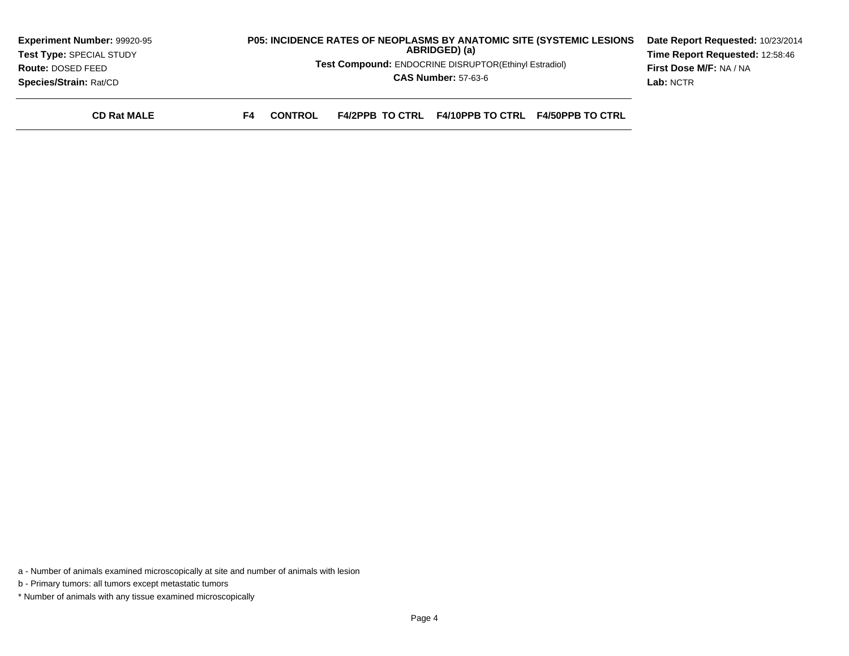| <b>Experiment Number: 99920-95</b> | <b>P05: INCIDENCE RATES OF NEOPLASMS BY ANATOMIC SITE (SYSTEMIC LESIONS)</b>               | Date Report Requested: 10/23/2014 |  |
|------------------------------------|--------------------------------------------------------------------------------------------|-----------------------------------|--|
| Test Type: SPECIAL STUDY           | ABRIDGED) (a)                                                                              | Time Report Requested: 12:58:46   |  |
| Route: DOSED FEED                  | <b>Test Compound: ENDOCRINE DISRUPTOR(Ethinyl Estradiol)</b>                               | First Dose M/F: NA / NA           |  |
| <b>Species/Strain: Rat/CD</b>      | <b>CAS Number: 57-63-6</b>                                                                 | Lab: NCTR                         |  |
| <b>CD Rat MALE</b>                 | <b>F4/10PPB TO CTRL F4/50PPB TO CTRL</b><br><b>F4/2PPB TO CTRL</b><br><b>CONTROL</b><br>F4 |                                   |  |

a - Number of animals examined microscopically at site and number of animals with lesion

b - Primary tumors: all tumors except metastatic tumors

\* Number of animals with any tissue examined microscopically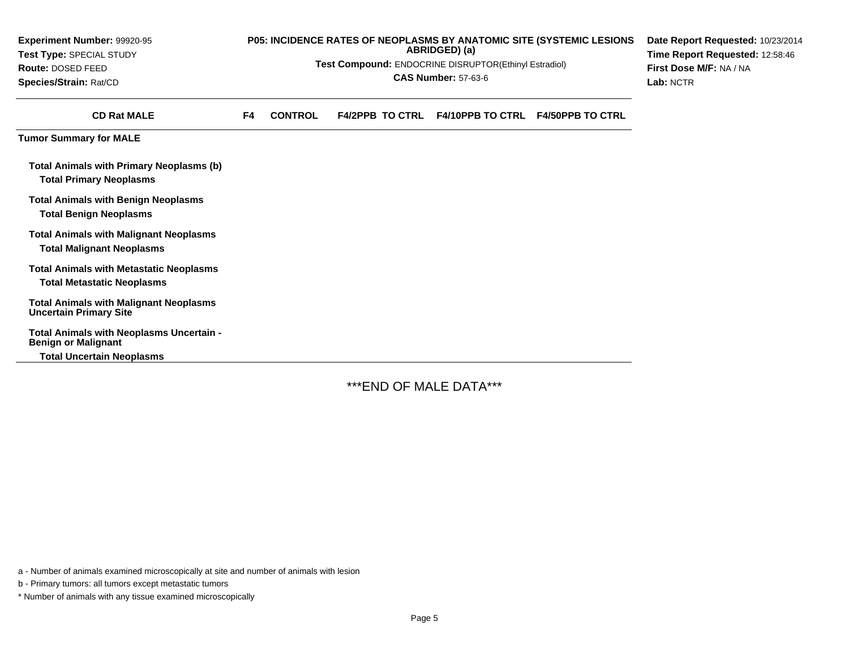| Experiment Number: 99920-95                                                         |    | P05: INCIDENCE RATES OF NEOPLASMS BY ANATOMIC SITE (SYSTEMIC LESIONS | Date Report Requested: 10/23/2014                     |                                 |                                   |                         |
|-------------------------------------------------------------------------------------|----|----------------------------------------------------------------------|-------------------------------------------------------|---------------------------------|-----------------------------------|-------------------------|
| Test Type: SPECIAL STUDY                                                            |    |                                                                      | ABRIDGED) (a)                                         | Time Report Requested: 12:58:46 |                                   |                         |
| Route: DOSED FEED                                                                   |    |                                                                      | Test Compound: ENDOCRINE DISRUPTOR(Ethinyl Estradiol) | <b>CAS Number: 57-63-6</b>      |                                   | First Dose M/F: NA / NA |
| Species/Strain: Rat/CD                                                              |    |                                                                      | Lab: NCTR                                             |                                 |                                   |                         |
| <b>CD Rat MALE</b>                                                                  | F4 | <b>CONTROL</b>                                                       | <b>F4/2PPB TO CTRL</b>                                |                                 | F4/10PPB TO CTRL F4/50PPB TO CTRL |                         |
| <b>Tumor Summary for MALE</b>                                                       |    |                                                                      |                                                       |                                 |                                   |                         |
| <b>Total Animals with Primary Neoplasms (b)</b><br><b>Total Primary Neoplasms</b>   |    |                                                                      |                                                       |                                 |                                   |                         |
| <b>Total Animals with Benign Neoplasms</b><br><b>Total Benign Neoplasms</b>         |    |                                                                      |                                                       |                                 |                                   |                         |
| <b>Total Animals with Malignant Neoplasms</b><br><b>Total Malignant Neoplasms</b>   |    |                                                                      |                                                       |                                 |                                   |                         |
| <b>Total Animals with Metastatic Neoplasms</b><br><b>Total Metastatic Neoplasms</b> |    |                                                                      |                                                       |                                 |                                   |                         |
| <b>Total Animals with Malignant Neoplasms</b><br><b>Uncertain Primary Site</b>      |    |                                                                      |                                                       |                                 |                                   |                         |
| Total Animals with Neoplasms Uncertain -<br><b>Benign or Malignant</b>              |    |                                                                      |                                                       |                                 |                                   |                         |
| <b>Total Uncertain Neoplasms</b>                                                    |    |                                                                      |                                                       |                                 |                                   |                         |

\*\*\*END OF MALE DATA\*\*\*

a - Number of animals examined microscopically at site and number of animals with lesion

b - Primary tumors: all tumors except metastatic tumors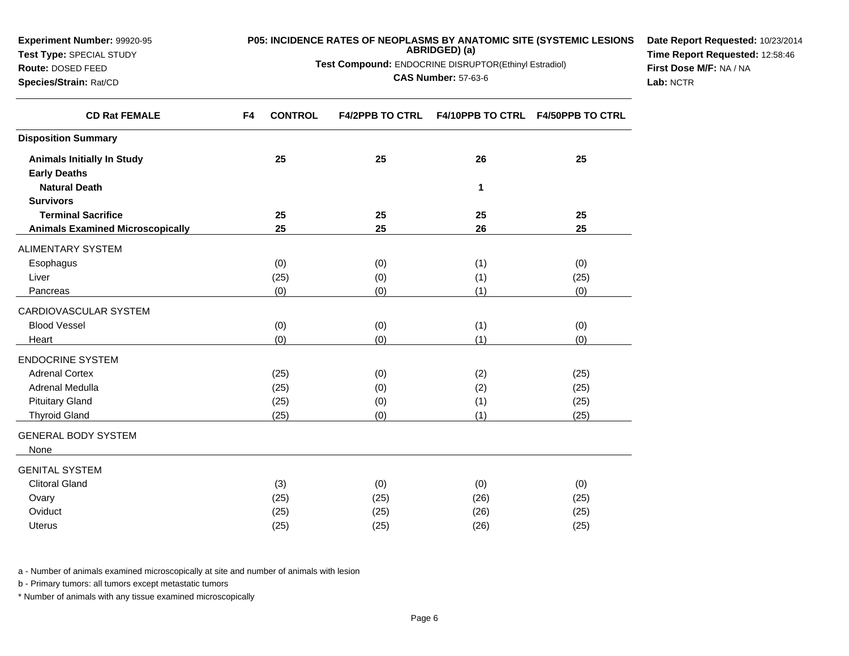| <b>Experiment Number: 99920-95</b><br>Test Type: SPECIAL STUDY<br>Route: DOSED FEED<br>Species/Strain: Rat/CD | <b>P05: INCIDENCE RATES OF NEOPLASMS BY ANATOMIC SITE (SYSTEMIC LESIONS)</b> | Date Report Requested: 10/23/2014<br>Time Report Requested: 12:58:46<br>First Dose M/F: NA / NA<br>Lab: NCTR |    |                                          |  |
|---------------------------------------------------------------------------------------------------------------|------------------------------------------------------------------------------|--------------------------------------------------------------------------------------------------------------|----|------------------------------------------|--|
| <b>CD Rat FEMALE</b>                                                                                          | <b>CONTROL</b><br>F4                                                         | <b>F4/2PPB TO CTRL</b>                                                                                       |    | <b>F4/10PPB TO CTRL F4/50PPB TO CTRL</b> |  |
| <b>Disposition Summary</b>                                                                                    |                                                                              |                                                                                                              |    |                                          |  |
| <b>Animals Initially In Study</b><br><b>Early Deaths</b>                                                      | 25                                                                           | 25                                                                                                           | 26 | 25                                       |  |

**<sup>25</sup> <sup>25</sup> <sup>26</sup> <sup>25</sup>**

(0) (1) (0)

 $(0)$   $(1)$   $(0)$   $(1)$   $(0)$ 

**<sup>25</sup> <sup>25</sup> <sup>25</sup> <sup>25</sup>**

s (0) (0) (1) (0) (1) (0)

s (0)  $(0)$  (0)  $(1)$  (0)

 $(x$  (25) (25) (0) (2) (25)

a (25) (25) (0) (2) (25)

d (25) (0) (1) (25)

d (25) (0) (1) (25)

d (3) (0) (0) (0) (0) (0)

y (25) (25) (25) (26) (26) (26) (26)

s (25)  $(25)$   $(25)$   $(26)$   $(26)$   $(25)$ 

r (25) (25) (0) (1) (25)

**1 1** 

a - Number of animals examined microscopically at site and number of animals with lesion

t  $(25)$ 

 $\vert$  (0)

(0)

b - Primary tumors: all tumors except metastatic tumors

**Natural Death**

ALIMENTARY SYSTEM

**Terminal Sacrifice**

CARDIOVASCULAR SYSTEM

**Animals Examined Microscopically**

**Survivors**

Esophagus

Pancreas

Blood Vessel

ENDOCRINE SYSTEMAdrenal Cortex

Adrenal Medulla

Pituitary Gland

Thyroid Gland

GENITAL SYSTEMClitoral Gland

GENERAL BODY SYSTEM

Liver

Heart

None

Ovary

Oviduct

Uterus

\* Number of animals with any tissue examined microscopically

(25) (26) (25)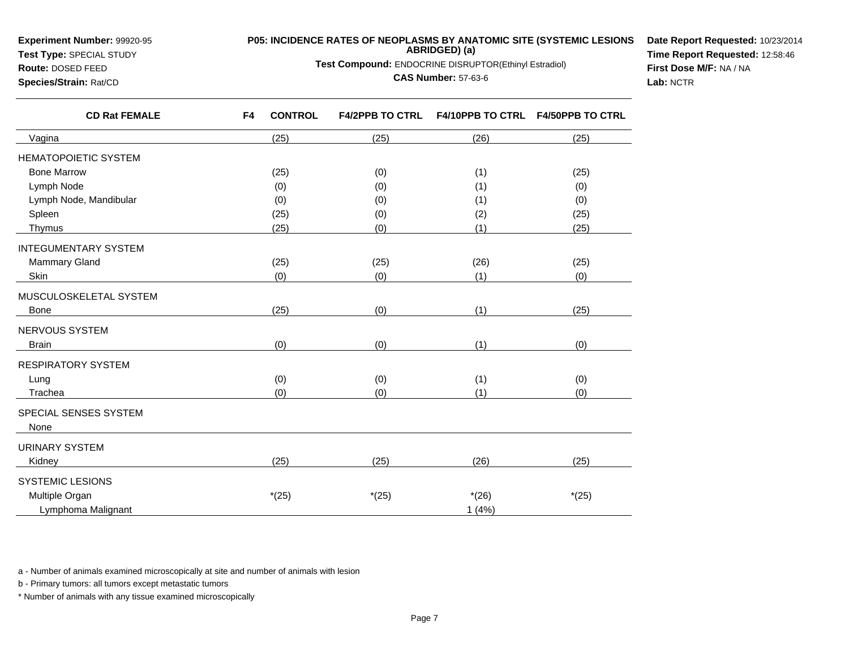**Experiment Number:** 99920-95

**Test Type:** SPECIAL STUDY

## **Route:** DOSED FEED**Species/Strain:** Rat/CD

**P05: INCIDENCE RATES OF NEOPLASMS BY ANATOMIC SITE (SYSTEMIC LESIONS ABRIDGED) (a)**

**Test Compound:** ENDOCRINE DISRUPTOR(Ethinyl Estradiol)

## **CAS Number:** 57-63-6

**Date Report Requested:** 10/23/2014**Time Report Requested:** 12:58:46**First Dose M/F:** NA / NA**Lab:** NCTR

| <b>CD Rat FEMALE</b>        | F4 | <b>CONTROL</b> | <b>F4/2PPB TO CTRL</b> | <b>F4/10PPB TO CTRL</b> | <b>F4/50PPB TO CTRL</b> |
|-----------------------------|----|----------------|------------------------|-------------------------|-------------------------|
| Vagina                      |    | (25)           | (25)                   | (26)                    | (25)                    |
| <b>HEMATOPOIETIC SYSTEM</b> |    |                |                        |                         |                         |
| <b>Bone Marrow</b>          |    | (25)           | (0)                    | (1)                     | (25)                    |
| Lymph Node                  |    | (0)            | (0)                    | (1)                     | (0)                     |
| Lymph Node, Mandibular      |    | (0)            | (0)                    | (1)                     | (0)                     |
| Spleen                      |    | (25)           | (0)                    | (2)                     | (25)                    |
| Thymus                      |    | (25)           | (0)                    | (1)                     | (25)                    |
| <b>INTEGUMENTARY SYSTEM</b> |    |                |                        |                         |                         |
| Mammary Gland               |    | (25)           | (25)                   | (26)                    | (25)                    |
| Skin                        |    | (0)            | (0)                    | (1)                     | (0)                     |
| MUSCULOSKELETAL SYSTEM      |    |                |                        |                         |                         |
| <b>Bone</b>                 |    | (25)           | (0)                    | (1)                     | (25)                    |
| NERVOUS SYSTEM              |    |                |                        |                         |                         |
| <b>Brain</b>                |    | (0)            | (0)                    | (1)                     | (0)                     |
| <b>RESPIRATORY SYSTEM</b>   |    |                |                        |                         |                         |
| Lung                        |    | (0)            | (0)                    | (1)                     | (0)                     |
| Trachea                     |    | (0)            | (0)                    | (1)                     | (0)                     |
| SPECIAL SENSES SYSTEM       |    |                |                        |                         |                         |
| None                        |    |                |                        |                         |                         |
| <b>URINARY SYSTEM</b>       |    |                |                        |                         |                         |
| Kidney                      |    | (25)           | (25)                   | (26)                    | (25)                    |
| <b>SYSTEMIC LESIONS</b>     |    |                |                        |                         |                         |
| Multiple Organ              |    | $*(25)$        | $*(25)$                | $*(26)$                 | $*(25)$                 |
| Lymphoma Malignant          |    |                |                        | 1(4%)                   |                         |

a - Number of animals examined microscopically at site and number of animals with lesion

b - Primary tumors: all tumors except metastatic tumors